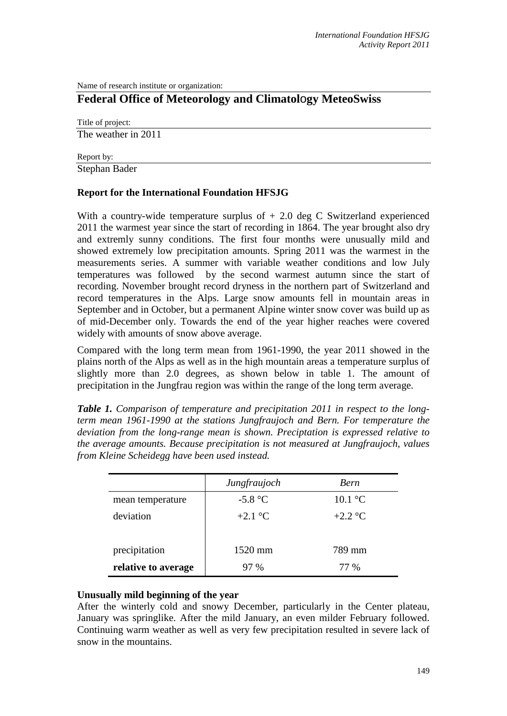Name of research institute or organization:

# **Federal Office of Meteorology and Climatol**o**gy MeteoSwiss**

Title of project: The weather in 2011

Report by: Stephan Bader

## **Report for the International Foundation HFSJG**

With a country-wide temperature surplus of  $+ 2.0$  deg C Switzerland experienced 2011 the warmest year since the start of recording in 1864. The year brought also dry and extremly sunny conditions. The first four months were unusually mild and showed extremely low precipitation amounts. Spring 2011 was the warmest in the measurements series. A summer with variable weather conditions and low July temperatures was followed by the second warmest autumn since the start of recording. November brought record dryness in the northern part of Switzerland and record temperatures in the Alps. Large snow amounts fell in mountain areas in September and in October, but a permanent Alpine winter snow cover was build up as of mid-December only. Towards the end of the year higher reaches were covered widely with amounts of snow above average.

Compared with the long term mean from 1961-1990, the year 2011 showed in the plains north of the Alps as well as in the high mountain areas a temperature surplus of slightly more than 2.0 degrees, as shown below in table 1. The amount of precipitation in the Jungfrau region was within the range of the long term average.

*Table 1. Comparison of temperature and precipitation 2011 in respect to the longterm mean 1961-1990 at the stations Jungfraujoch and Bern. For temperature the deviation from the long-range mean is shown. Preciptation is expressed relative to the average amounts. Because precipitation is not measured at Jungfraujoch, values from Kleine Scheidegg have been used instead.*

|                     | Jungfraujoch | Bern              |
|---------------------|--------------|-------------------|
| mean temperature    | $-5.8$ °C    | $10.1 \text{ °C}$ |
| deviation           | $+2.1$ °C    | $+2.2$ °C         |
| precipitation       | 1520 mm      | 789 mm            |
| relative to average | 97 %         | 77 %              |

#### **Unusually mild beginning of the year**

After the winterly cold and snowy December, particularly in the Center plateau, January was springlike. After the mild January, an even milder February followed. Continuing warm weather as well as very few precipitation resulted in severe lack of snow in the mountains.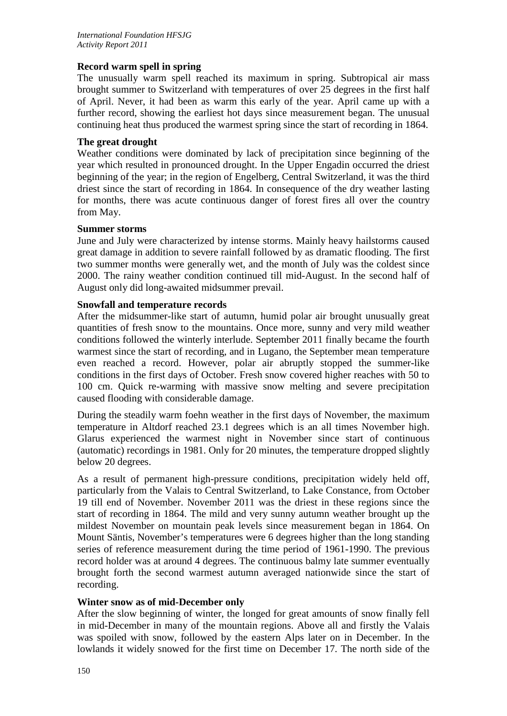#### **Record warm spell in spring**

The unusually warm spell reached its maximum in spring. Subtropical air mass brought summer to Switzerland with temperatures of over 25 degrees in the first half of April. Never, it had been as warm this early of the year. April came up with a further record, showing the earliest hot days since measurement began. The unusual continuing heat thus produced the warmest spring since the start of recording in 1864.

#### **The great drought**

Weather conditions were dominated by lack of precipitation since beginning of the year which resulted in pronounced drought. In the Upper Engadin occurred the driest beginning of the year; in the region of Engelberg, Central Switzerland, it was the third driest since the start of recording in 1864. In consequence of the dry weather lasting for months, there was acute continuous danger of forest fires all over the country from May.

#### **Summer storms**

June and July were characterized by intense storms. Mainly heavy hailstorms caused great damage in addition to severe rainfall followed by as dramatic flooding. The first two summer months were generally wet, and the month of July was the coldest since 2000. The rainy weather condition continued till mid-August. In the second half of August only did long-awaited midsummer prevail.

### **Snowfall and temperature records**

After the midsummer-like start of autumn, humid polar air brought unusually great quantities of fresh snow to the mountains. Once more, sunny and very mild weather conditions followed the winterly interlude. September 2011 finally became the fourth warmest since the start of recording, and in Lugano, the September mean temperature even reached a record. However, polar air abruptly stopped the summer-like conditions in the first days of October. Fresh snow covered higher reaches with 50 to 100 cm. Quick re-warming with massive snow melting and severe precipitation caused flooding with considerable damage.

During the steadily warm foehn weather in the first days of November, the maximum temperature in Altdorf reached 23.1 degrees which is an all times November high. Glarus experienced the warmest night in November since start of continuous (automatic) recordings in 1981. Only for 20 minutes, the temperature dropped slightly below 20 degrees.

As a result of permanent high-pressure conditions, precipitation widely held off, particularly from the Valais to Central Switzerland, to Lake Constance, from October 19 till end of November. November 2011 was the driest in these regions since the start of recording in 1864. The mild and very sunny autumn weather brought up the mildest November on mountain peak levels since measurement began in 1864. On Mount Säntis, November's temperatures were 6 degrees higher than the long standing series of reference measurement during the time period of 1961-1990. The previous record holder was at around 4 degrees. The continuous balmy late summer eventually brought forth the second warmest autumn averaged nationwide since the start of recording.

#### **Winter snow as of mid-December only**

After the slow beginning of winter, the longed for great amounts of snow finally fell in mid-December in many of the mountain regions. Above all and firstly the Valais was spoiled with snow, followed by the eastern Alps later on in December. In the lowlands it widely snowed for the first time on December 17. The north side of the